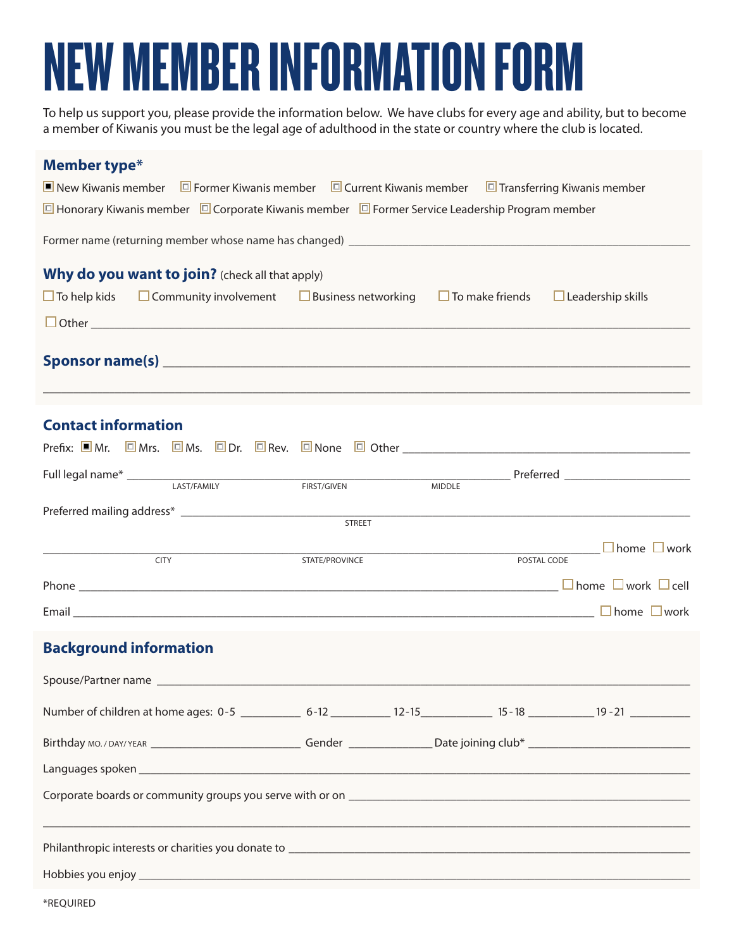## NEW MEMBER INFORMATION FORM

To help us support you, please provide the information below. We have clubs for every age and ability, but to become a member of Kiwanis you must be the legal age of adulthood in the state or country where the club is located.

| Member type*                  |                                                                                                                                                                                                                                |                |               |                             |
|-------------------------------|--------------------------------------------------------------------------------------------------------------------------------------------------------------------------------------------------------------------------------|----------------|---------------|-----------------------------|
|                               | I New Kiwanis member $\Box$ Former Kiwanis member $\Box$ Current Kiwanis member $\Box$ Transferring Kiwanis member                                                                                                             |                |               |                             |
|                               | □ Honorary Kiwanis member □ Corporate Kiwanis member □ Former Service Leadership Program member                                                                                                                                |                |               |                             |
|                               |                                                                                                                                                                                                                                |                |               |                             |
|                               | Why do you want to join? (check all that apply)                                                                                                                                                                                |                |               |                             |
|                               | $\Box$ To help kids $\Box$ Community involvement $\Box$ Business networking $\Box$ To make friends $\Box$ Leadership skills                                                                                                    |                |               |                             |
|                               |                                                                                                                                                                                                                                |                |               |                             |
|                               | Sponsor name(s) substitution of the contract of the contract of the contract of the contract of the contract of the contract of the contract of the contract of the contract of the contract of the contract of the contract o |                |               |                             |
| <b>Contact information</b>    |                                                                                                                                                                                                                                |                |               |                             |
|                               | Prefix: ■Mr. 回Mrs. 回Ms. 回Dr. 回Rev. 回None 回 Other ________________________________                                                                                                                                              |                |               |                             |
|                               |                                                                                                                                                                                                                                |                |               | <b>Preferred Example 20</b> |
|                               | LAST/FAMILY                                                                                                                                                                                                                    | FIRST/GIVEN    | <b>MIDDLE</b> |                             |
|                               |                                                                                                                                                                                                                                | <b>STREET</b>  |               |                             |
|                               |                                                                                                                                                                                                                                |                |               | <u>■ Nome</u> Nome Noork    |
|                               | <b>CITY</b>                                                                                                                                                                                                                    | STATE/PROVINCE | POSTAL CODE   |                             |
|                               |                                                                                                                                                                                                                                |                |               |                             |
|                               |                                                                                                                                                                                                                                |                |               |                             |
| <b>Background information</b> |                                                                                                                                                                                                                                |                |               |                             |
|                               |                                                                                                                                                                                                                                |                |               |                             |
|                               | Number of children at home ages: 0-5 _____________ 6-12 ______________ 12-15 _______________ 15-18 ____________ 19-21 _____________                                                                                            |                |               |                             |
|                               |                                                                                                                                                                                                                                |                |               |                             |
|                               |                                                                                                                                                                                                                                |                |               |                             |
|                               |                                                                                                                                                                                                                                |                |               |                             |
|                               | Philanthropic interests or charities you donate to [14] The Content of the Content of the Content of the Content of the Content of the Content of the Content of the Content of the Content of the Content of the Content of t |                |               |                             |
|                               | Hobbies you enjoy and the contract of the contract of the contract of the contract of the contract of the contract of the contract of the contract of the contract of the contract of the contract of the contract of the cont |                |               |                             |
|                               |                                                                                                                                                                                                                                |                |               |                             |